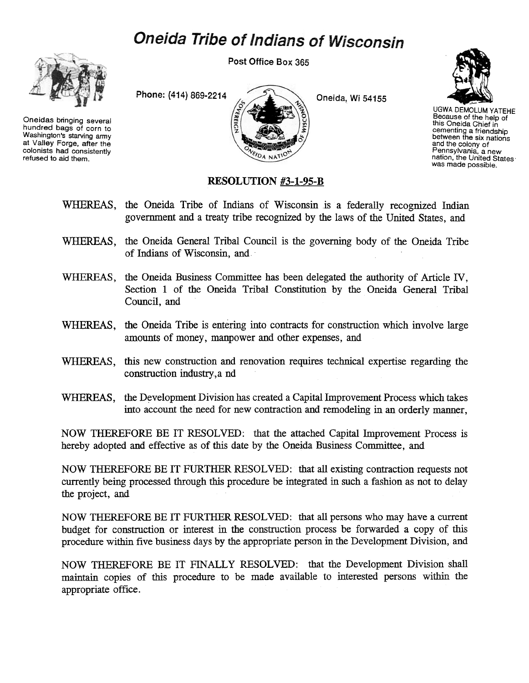## Oneida Tribe of Indians of Wisconsin



Oneidas bringing several hundred bags of corn to Washington's starving army at Valley Forge, after the colonists had consistently refused to aid them.

Post Office Box 365





UGWA DEMOLUM YATEHE Because of the help of this Oneida Chief in cementing a friendship between the six nations and the colony of Pennsylvania, a new nation, the United States was made possible.

## RESOLUTION #3-1-95-B

- WHEREAS, the Oneida Tribe of Indians of Wisconsin is a federally recognized Indian government and a treaty tribe recognized by the laws of the United States, and
- WHEREAS, the Oneida General Tribal Council is the governing body of the Oneida Tribe of Indians of Wisconsin, and
- WHEREAS, the Oneida Business Committee has been delegated the authority of Article IV, Section 1 of the Oneida Tribal Constitution by the Oneida General Tribal Council, and
- WHEREAS, the Oneida Tribe is entering into contracts for construction which involve large amounts of money, manpower and other expenses, and
- WHEREAS, this new construction and renovation requires technical expertise regarding the construction industry,a nd
- WHEREAS, the Development Division has created a Capital Improvement Process which takes into account the need for new contraction and remodeling in an orderly manner,

NOW THEREFORE BE IT RESOLVED: that the attached Capital Improvement Process is hereby adopted and effective as of this date by the Oneida Business Committee, and

NOW THEREFORE BE IT FURTHER RESOLVED: that all existing contraction requests not currently being processed through this procedure be integrated in such a fashion as not to delay the project, and

NOW THEREFORE BE IT FURTHER RESOLVED: that all persons who may have a current budget for construction or interest in the construction process be forwarded a copy of this procedure within five business days by the appropriate person in the Development Division, and

NOW THEREFORE BE IT FINALLY RESOLVED: that the Development Division shall maintain copies of this procedure to be made available to interested persons within the appropriate office.